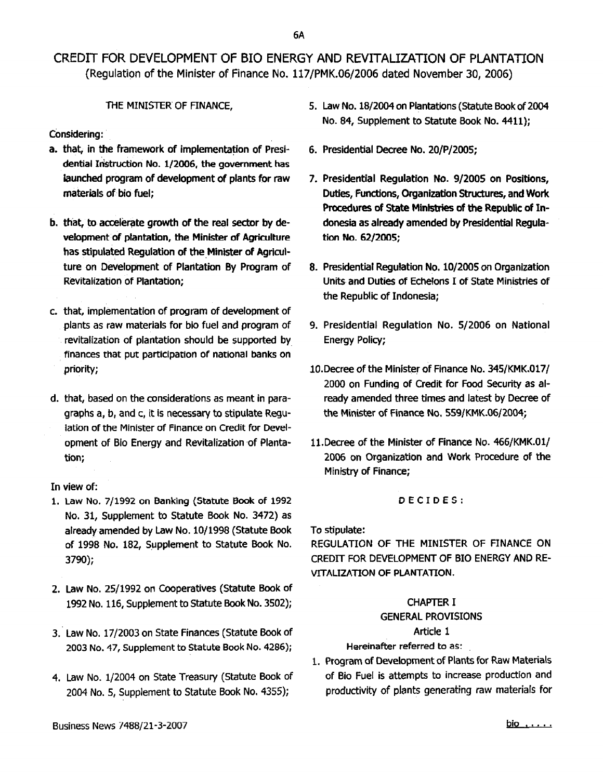# CREDIT FOR DEVELOPMENT OF BIO ENERGY AND REVITALIZATION OF PLANTATION (Regulation of the Minister of Finance No. 117/PMK.06/2006 dated November 3D, 2006)

## THE MINISTER OF FINANCE.

COnsidering:

- a. that, in the framework of implementation of Presidential Instruction No. 1/2006, the government has launched program of development of plants for raw materials of bio fuel;
- b. that, to accelerate growth of the real sector by development of plantation, the Minister of Agriculture has stipulated Regulation of the Minister of Agriculture on Development of Plantation By Program of Revitalization of Plantation;
- c. that, implementation of program of development of plants as raw materials for bio fuel and program of revitalization of plantation should be supported by finances that put participation of national banks on priority;
- d. that, based on the considerations as meant in paragraphs a, b, and c, it is necessary to stipulate Regulation of the Minister of Finance on Credit for Development of Bio Energy and Revitalization of Plantation;

## In view of:

- 1. Law No. 7/1992 on Banking (Statute Book of 1992 No. 31, Supplement to Statute Book No. 3472) as already amended by Law No.10/199B (Statute Book of 1998 No. 182, Supplement to Statute Book No. 3790);
- 2. Law No. 25/1992 on Cooperatives (Statute Book of 1992No. 116, Supplement to Statute Book No. 3502);
- 3. Law No. 17/2003 on State Finances (Statute Book of 2003 No. 47, Supplement to Statute Book No. 4286);
- 4. Law No. 1/2004 on State Treasury (Statute Book of 2004 No.5, Supplement to Statute Book No. 4355);
- 5. Law No. 18/2004 on Plantations (Statute Bookof 2004 No. 84, Supplement to Statute Book No. 4411);
- 6. Presidential Decree No. 20jP/2005;
- 7. Presidential Regulation No. 9/2005 on Positions, Duties, Functions, Organization Structures, and Work Procedures of State Ministries of the Republic of Indonesia as already amended by Presidential Regulation No. 62/2005;
- 8. Presidential Regulation No. 10/2005 on Organization Units and Duties of Echelons I of State Ministries of the Republic of Indonesia;
- 9. Presidential Regulation No. 5/2006 on National Energy Policy;
- 10.Decree of the Minister of Finance No. 345{KMK.017{ 2000 on Funding of Credit for Food Security as already amended three times and latest by Decree of the Minister of Finance No. SS9/KMK.06{2004;
- 11.Decree of the Minister of Finance No. 466/KMK.Ol/ 2006 on Organization and Work Procedure of the Ministry of Finance;

## DECIDES:

To stipulate:

REGULATION OF THE MINISTER OF FINANCE ON CREDIT FOR DEVELOPMENT OF BIO ENERGY AND RE-VITALIZATION OF PLANTATION.

# CHAPTER I

## GENERAL PROVISIONS

## Article 1

## Hereinafter referred to as:

1. Program of Development of Plants for Raw Materials of Bio Fuel is attempts to increase production and productivity of plants generating raw materials for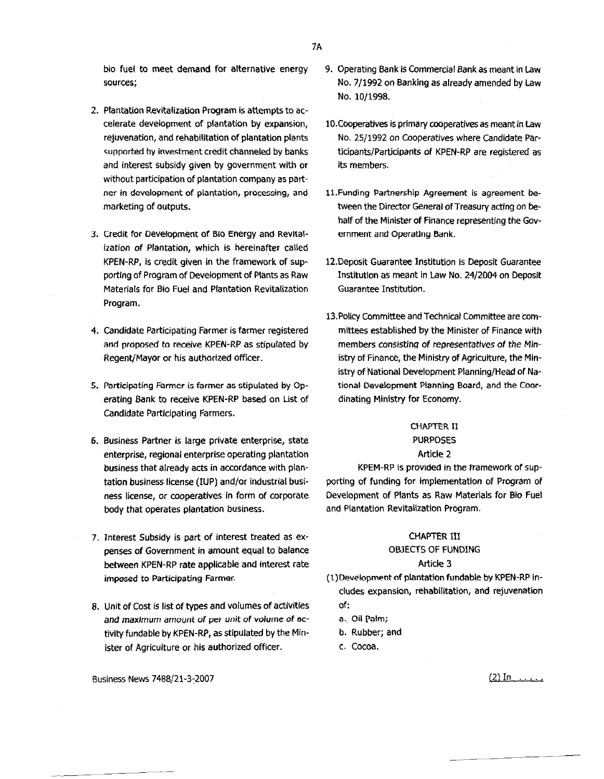bio fuel to meet demand for alternative energy sources;

- 2. Plantation Revitalization Program is attempts to accelerate development of plantation by expansion, rejuvenation, and rehabilitation of plantation plants supported by investment credit channeled by banks and interest subsidy given by government with or without participation of plantation company as partner in development of plantation, processing, and marketing of outputs.
- 3. credit for Development or BiOEnergy and RevItalization of Plantation, which is hereinafter called KPEN-RP, is credit given in the framework of supporting of Program of Development of Plants as Raw Materials for Bia Fuel and Plantation Revitalization Program.
- 4. candidate Participating Farmer is farmer registered and proposed to receive KPEN-RP as stipulated by Regent/Mayor or his authorized officer.
- 5. Participating Farmer is farmer as stipulated by Operating Bank to receive KPEN-RP based on List of Candidate Participating Farmers.
- 6. Business Partner is large private enterprise, state enterprise, regional enterprise operating plantation business that already acts in accordance with plantation business license (IUP) and/or industrial business license, or cooperatives in form of corporate body that operates plantation business.
- 7. Interest Subsidy is part of interest treated as expenses of Government in amount equal to balance between KPEN-RP rate applicable and interest rate imposed to Participating Farmer.
- 8. Unit of Cost is list of types and volumes of activities and maximum amount of per unit of volume of activity fundable by KPEN-RP, as stipulated by the Minister of Agriculture or his authorized officer.

Business News 7488/21-3~2007 (2) In **.. o."o. ..**

- 9. Operating Bank is Commercial Bankas meant in Law No. 7/1992 on Banking as already amended by Law No. 10/1998.
- 10. Cooperatives is primary cooperatives as meant in Law No. 25/1992 on Cooperatives where Candidate Participants/Participants of KPEN-RP are registered as its members.
- l1.Funding Partnership Agreement is agreement between the Director General of Treasury acting on behalf of the Minister of Finance representing the Government and Operating Bank.
- 12.Deposit Guarantee Institution is Deposit Guarantee Institution as meant in Law No. 24/2004 on Deposit Guarantee Institution.
- 13. Policy Committee and Technical Committee are committees established by the Minister of Finance with members consisting of representatives of the Ministry of Finance, the Ministry of Agriculture, the Ministry of National Development Planning/Head of National Development Planning Board, and the Coordinating Ministry for Economy.

### CHAPTER II PURPOSES

### Article 2

KPEM-RP is provided in the framework of supporting of funding for implementation of Program of Development of Plants as Raw Materials for Bio Fuel and Plantation Revitalization Program.

# CHAPTER III

## OBJECTS OF FUNDING

## Article 3

- (1) Development of plantation fundable by KPEN-RP includes expansion, rehabilitation, and rejuvenation of:
	- a., Oil palm;
	- b. Rubber; and
	- c. Cocoa.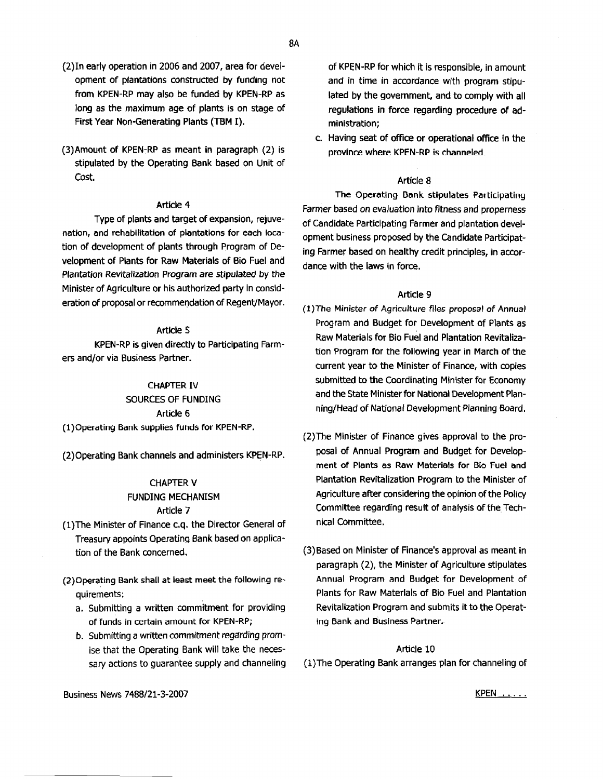- (2)ln early operation in 2006 and 2007, area for development of plantations constructed by funding not from KPEN-RP may also be funded by KPEN-RP as long as the maximum age of plants is on stage of First Year Non-Generating Plants (TBM I).
- (3}Amount of KPEN-RP as meant in paragraph (2) is stipulated by the Operating Bank based on Unit of Cost.

### Article 4

Type of plants and target of expansion, rejuvenation, and rehabilitation of plantations for each location of development of plants through Program of Development of Plants for Raw Materials of Bio Fuel and Plantation Revitalization Program are stipulated by the Minister of Agriculture or his authorized party in consideration of proposalor recommendation of Regent/Mayor.

### Article 5

KPEN-RP is given directly to Participating Farmers and/or via Business Partner.

#### CHAPTER IV

SOURCES OF FUNDING Article 6

(1)Operating Bank supplies funds for KPEN-RP.

(2)Operating Bank channels and administers KPEN-RP.

#### CHAPTER V

### FUNDING MECHANISM Article 7

- (l)The Minister of Finance c.q, the Director General of Treasury appoints Operating Bank based on application of the Bank concerned.
- (2)Operating Bank shall at least meet the following requirements: .
	- a. Submitting a written commitment for providing of funds in certain amount for KPEN-RP;
	- b. Submitting a written commitment regarding promise that the Operating Bank will take the necessary actions to guarantee supply and channeling

of KPEN-RP for which it is responsible, in amount and in time in accordance with program stipulated by the government, and to comply with all regulations in force regarding procedure of administration;

c. Having seat of office or operational office in the province where KPEN-RP is channeled.

#### Article 8

The Operating Bank stipulates Participating Farmer based on evaluation *into*fitness and properness of Candidate Participating Farmer and plantation development business proposed by the Candidate Participating Farmer based on healthy credit principles, in accordance with the laws in force.

### Article 9

- (l)The Minister of Agriculture files proposal of Annual Program and Budget for Development of Plants as Raw Materials for Bio Fuel and Plantation Revitalization Program for the following year in March of the current year to the Minister of Finance, with copies submitted to the Coordinating Minister for Economy and the State Minister for National Development Planning/Head of National Development Planning Board.
- (2)The Minister of Finance gives approval to the proposal of Annual Program and Budget for Development of Plants as Raw Materials for Bio Fuel and Plantation Revitalization Program to the Minister of Agriculture after considering the opinion of the Policy Committee regarding result of analysis of the Technical Committee.
- (3)Based on Minister of Finance's approval as meant in paragraph (2), the Minister of Agriculture stipulates Annual Program and Budget for Development of Plants for Raw Materials of Bio Fuel and Plantation Revitalization Program and submits it to the Operating Bank and Business Partner.

#### Article 10

(1) The Operating Bank arranges plan for channeling of

Business News 7488/21-3-2007

KPEN .....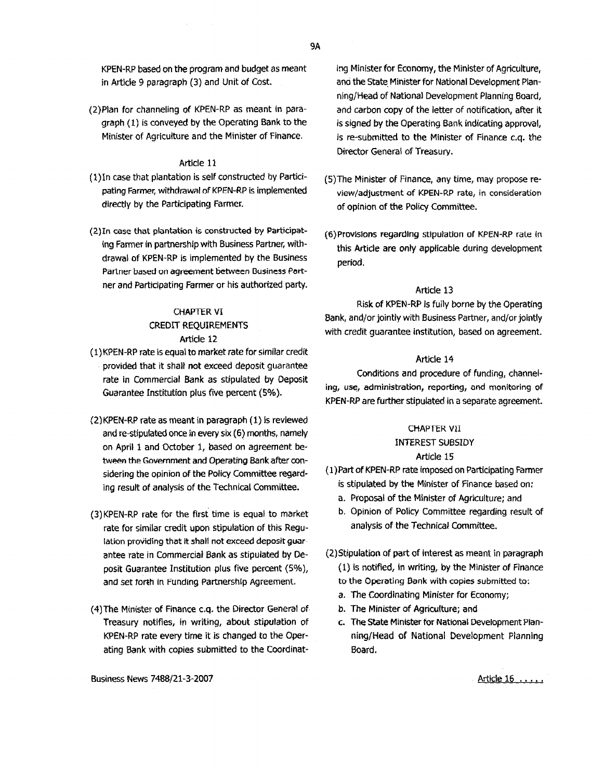KPEN-RP based on the program and budget as meant in Article 9 paragraph (3) and Unit of Cost.

(2)Plan for channeling of KPEN-RP as meant in paragraph (1) is conveyed by the Operating Bank to the Minister of Agriculture and the Minister of Finance.

#### Article 11

- (l)ln case that plantation is self constructed by Participating Farmer, withdrawal of KPEN-RP is implemented directly by the Participating Farmer.
- (2)ln case that plantation is constructed by Participating Farmer in partnership with Business Partner, withdrawal of KPEN-RP is implemented by the Business Partner based on agreement between Business Portner and Participating Farmer or his authorized party.

## CHAPTER VI CREDIT REQUIREMENTS Article 12

- (1) KPEN-RP rate is equal to market rate for similar credit provided that it shall not exceed deposit guarantee rate in Commercial Bank as stipulated by Deposit Guarantee Institution plus five percent (5%).
- (2}KPEN-RP rate as meant in paragraph (1) is reviewed and re-stipulated once in every six (6) months, namely on April 1 and October 1, based on agreement between the Government and Operating Bankafter considering the opinion of the Policy Committee regarding result of analysis of the Technical Committee.
- (3)KPEN-RP rate for the first' time is equal to market rate for similar credit upon stipulation of this Regulation providing that it shall not exceed deposit guarantee rate in Commercial Bank as stipulated by Deposit Guarantee Institution plus five percent (5%), and set forth in Funding partnership Agreement.
- (4)The Minister of Finance c.q. the Director General of Treasury notifies, in writing, about stipulation of KPEN~RP rate every time it is changed to the Operating Bank with copies submitted to the Coordinat-

Business News *7488/21-3-2007*

ing Minister for Economy, the Minister of Agriculture, ana the State Minister for National Development Planning/Head of National Development Planning Board, and carbon copy of the letter of notification, after it is signed by the Operating Bank indicating approval, is re-submitted to the Minister of Finance c.q, the Director General of Treasury.

- (S}The Minister of Finance, any time, may propose review/adjustment of KPEN-RP rate, in consideration of opinion of the Policy Committee.
- (6)Provlslons regarding stipulation of KPEN-RP rate in this Article are only applicable during development period.

#### Article 13

Risk of KPEN-RP is fully borne by the Operating Bank, and/or jointly with Business Partner, and/or jointly with credit guarantee institution, based on agreement.

### Article 14

Conditions and procedure of funding, channeling, use, administration, reporting, end monitoring of KPEN-RP are further stipulated in a separate agreement.

#### **CHAPTER VII**

#### INTEREST SUBSIDY

#### Article 15

- (1)Part of KPEN-RP rate imposed on Participating Farmer is stipulated by the Minister of Finance based on:
	- a. Proposal of the Minister of Agriculture; and
	- b. Opinion of Policy Committee regarding result of analysis of the Technical Committee.
- (2)Stipulatioo of part of interest as meant in paragraph (1) is notified, in writing, by the Minister of Finance to the Operating Bank with copies submitted to:
	- a. The Coordinating Minister for Economy;
	- b. The Minister of Agriculture; and
	- c. The State Minister for National Development Planning/Head of National Development Planning Board.

Article 16 .....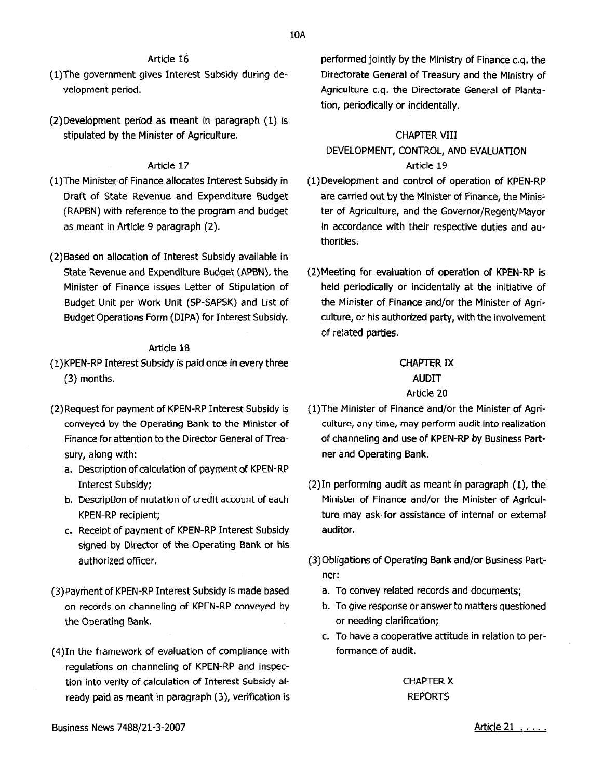## Article 16

- (l)The government gives Interest Subsidy during development period.
- (2)Development period as meant in paragraph (1) is stipulated by the Minister of Agriculture.

### Article 17

- (I)The Minister of Finance allocates Interest Subsidy in Draft of State Revenue and Expenditure Budget (RAPBN) with reference to the program and budget as meant in Article 9 paragraph (2).
- (2)Based on allocation of Interest Subsidy available in State Revenue and Expenditure Budget (APBN), the Minister of Finance issues Letter of Stipulation of Budget Unit per Work Unit (SP-SAPSK) and List of Budget Operations Form (DIPA) for Interest Subsidy.

### Article 18

- (1)KPEN-RPInterest Subsidy is paid once in every three (3) months.
- (2) Request for payment of KPEN-RP Interest Subsidy is conveyed by the Operating Bank to the Minister of Finance for attention to the Director General of Treasury, along With:
	- a. Description of calculation of payment of KPEN-RP Interest Subsidy;
	- b. Description of mutation of credit account of each KPEN-RP recipient;
	- c. Receipt of payment of KPEN-RP Interest Subsidy signed by Director of the Operating Bank or his authorized officer.
- (3) Payment of KPEN-RP Interest Subsidy is made based on records on channeling of KPEN-RP conveyed by the Operating Bank.
- (4)In the framework of evaluation of compliance with regulations on channeling of KPEN-RP and inspection into verity of calculation of Interest Subsidy already paid as meant in paragraph (3), verification is

performed jointly by the Ministry of Finance c.q. the Directorate General of Treasury and the Ministry of Agriculture c.q, the Directorate General of Plantation, periodically or incidentally.

### CHAPTER VIII

# DEVELOPMENT, CONTROL, AND EVALUATION Article 19

- (1)Development and control of operation of KPEN-RP are carried out by the Minister of Finance, the Minis~ ter of Agriculture, and the Governor/Regent/Mayor in accordance with their respective duties and au~ thorities.
- (2)Meeting for evaluation of operation of KPEN-RP is held periodically or incidentally at the initiative of the Minister of Finance and/or the Minister of Agri~ culture, or his authorized party, with the involvement of related parties.

## CHAPTER IX AUDIT

### Article 20

- (l)The Minister of Finance and/or the Minister of Agriculture, any time, may perform audit into realization of channeling and use of KPEN-RP by Business Partner and Operating Bank.
- (2)In performing audit as meant in paragraph (1), the Minister of Finance and/or the Minister of Agriculture may ask for assistance of internal or external auditor,
- (3) Obligations of Operating Bank and/or Business Partner:
	- a. To convey related records and documents;
	- b. To give response or answer to matters questioned or needing clarification;
	- c. To have a cooperative attitude in relation to performance of audit.

## CHAPTER X REPORTS

Article 21 .....